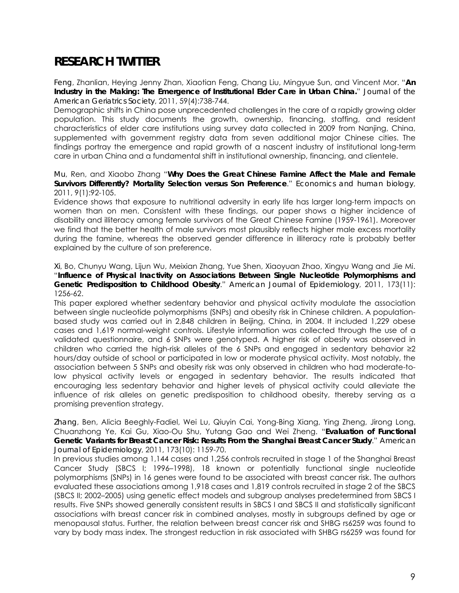## **RESEARCH TWITTER**

*Feng*, Zhanlian, Heying Jenny Zhan, Xiaotian Feng, Chang Liu, Mingyue Sun, and Vincent Mor. "**An Industry in the Making: The Emergence of Institutional Elder Care in Urban China.**" *Journal of the American Geriatrics Society*, 2011, 59(4):738-744.

Demographic shifts in China pose unprecedented challenges in the care of a rapidly growing older population. This study documents the growth, ownership, financing, staffing, and resident characteristics of elder care institutions using survey data collected in 2009 from Nanjing, China, supplemented with government registry data from seven additional major Chinese cities. The findings portray the emergence and rapid growth of a nascent industry of institutional long-term care in urban China and a fundamental shift in institutional ownership, financing, and clientele.

## *Mu*, Ren, and Xiaobo Zhang "**Why Does the Great Chinese Famine Affect the Male and Female Survivors Differently? Mortality Selection versus Son Preference**." *Economics and human biology*, 2011, 9(1):92-105.

Evidence shows that exposure to nutritional adversity in early life has larger long-term impacts on women than on men. Consistent with these findings, our paper shows a higher incidence of disability and illiteracy among female survivors of the Great Chinese Famine (1959-1961). Moreover we find that the better health of male survivors most plausibly reflects higher male excess mortality during the famine, whereas the observed gender difference in illiteracy rate is probably better explained by the culture of son preference.

*Xi*, Bo, Chunyu Wang, Lijun Wu, Meixian Zhang, Yue Shen, Xiaoyuan Zhao, Xingyu Wang and Jie Mi. "**Influence of Physical Inactivity on Associations Between Single Nucleotide Polymorphisms and Genetic Predisposition to Childhood Obesity**." *American Journal of Epidemiology*, 2011, 173(11): 1256-62.

This paper explored whether sedentary behavior and physical activity modulate the association between single nucleotide polymorphisms (SNPs) and obesity risk in Chinese children. A populationbased study was carried out in 2,848 children in Beijing, China, in 2004. It included 1,229 obese cases and 1,619 normal-weight controls. Lifestyle information was collected through the use of a validated questionnaire, and 6 SNPs were genotyped. A higher risk of obesity was observed in children who carried the high-risk alleles of the 6 SNPs and engaged in sedentary behavior ≥2 hours/day outside of school or participated in low or moderate physical activity. Most notably, the association between 5 SNPs and obesity risk was only observed in children who had moderate-tolow physical activity levels or engaged in sedentary behavior. The results indicated that encouraging less sedentary behavior and higher levels of physical activity could alleviate the influence of risk alleles on genetic predisposition to childhood obesity, thereby serving as a promising prevention strategy.

*Zhang*, Ben, Alicia Beeghly-Fadiel, Wei Lu, Qiuyin Cai, Yong-Bing Xiang, Ying Zheng, Jirong Long, Chuanzhong Ye, Kai Gu, Xiao-Ou Shu, Yutang Gao and Wei Zheng. "**Evaluation of Functional Genetic Variants for Breast Cancer Risk: Results From the Shanghai Breast Cancer Study**." *American Journal of Epidemiology*, 2011, 173(10): 1159-70.

In previous studies among 1,144 cases and 1,256 controls recruited in stage 1 of the Shanghai Breast Cancer Study (SBCS I; 1996–1998), 18 known or potentially functional single nucleotide polymorphisms (SNPs) in 16 genes were found to be associated with breast cancer risk. The authors evaluated these associations among 1,918 cases and 1,819 controls recruited in stage 2 of the SBCS (SBCS II; 2002–2005) using genetic effect models and subgroup analyses predetermined from SBCS I results. Five SNPs showed generally consistent results in SBCS I and SBCS II and statistically significant associations with breast cancer risk in combined analyses, mostly in subgroups defined by age or menopausal status. Further, the relation between breast cancer risk and SHBG rs6259 was found to vary by body mass index. The strongest reduction in risk associated with SHBG rs6259 was found for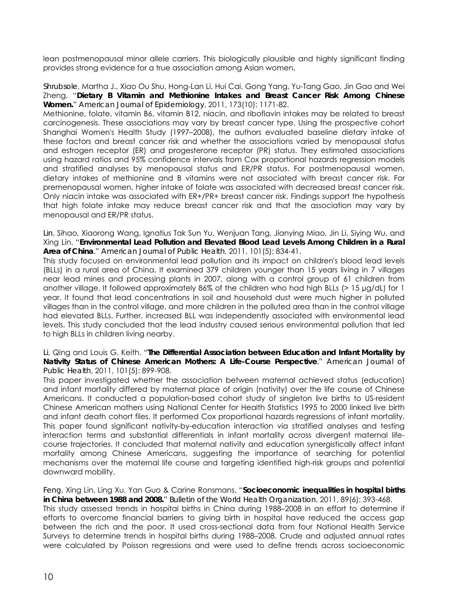lean postmenopausal minor allele carriers. This biologically plausible and highly significant finding provides strong evidence for a true association among Asian women.

*Shrubsole*, Martha J., Xiao Ou Shu, Hong-Lan Li, Hui Cai, Gong Yang, Yu-Tang Gao, Jin Gao and Wei Zheng. "**Dietary B Vitamin and Methionine Intakes and Breast Cancer Risk Among Chinese Women.**" *American Journal of Epidemiology*, 2011, 173(10): 1171-82.

Methionine, folate, vitamin B6, vitamin B12, niacin, and riboflavin intakes may be related to breast carcinogenesis. These associations may vary by breast cancer type. Using the prospective cohort Shanghai Women's Health Study (1997–2008), the authors evaluated baseline dietary intake of these factors and breast cancer risk and whether the associations varied by menopausal status and estrogen receptor (ER) and progesterone receptor (PR) status. They estimated associations using hazard ratios and 95% confidence intervals from Cox proportional hazards regression models and stratified analyses by menopausal status and ER/PR status. For postmenopausal women, dietary intakes of methionine and B vitamins were not associated with breast cancer risk. For premenopausal women, higher intake of folate was associated with decreased breast cancer risk. Only niacin intake was associated with ER+/PR+ breast cancer risk. Findings support the hypothesis that high folate intake may reduce breast cancer risk and that the association may vary by menopausal and ER/PR status.

*Lin*, Sihao, Xiaorong Wang, Ignatius Tak Sun Yu, Wenjuan Tang, Jianying Miao, Jin Li, Siying Wu, and Xing Lin. "**Environmental Lead Pollution and Elevated Blood Lead Levels Among Children in a Rural Area of China**." *American Journal of Public Health*, 2011, 101(5): 834-41.

This study focused on environmental lead pollution and its impact on children's blood lead levels (BLLs) in a rural area of China. It examined 379 children younger than 15 years living in 7 villages near lead mines and processing plants in 2007, along with a control group of 61 children from another village. It followed approximately 86% of the children who had high BLLs (> 15 µg/dL) for 1 year. It found that lead concentrations in soil and household dust were much higher in polluted villages than in the control village, and more children in the polluted area than in the control village had elevated BLLs. Further, increased BLL was independently associated with environmental lead levels. This study concluded that the lead industry caused serious environmental pollution that led to high BLLs in children living nearby.

*Li*, Qing and Louis G. Keith. "**The Differential Association between Education and Infant Mortality by Nativity Status of Chinese American Mothers: A Life-Course Perspective**." *American Journal of Public Health*, 2011, 101(5): 899-908.

This paper investigated whether the association between maternal achieved status (education) and infant mortality differed by maternal place of origin (nativity) over the life course of Chinese Americans. It conducted a population-based cohort study of singleton live births to US-resident Chinese American mothers using National Center for Health Statistics 1995 to 2000 linked live birth and infant death cohort files. It performed Cox proportional hazards regressions of infant mortality. This paper found significant nativity-by-education interaction via stratified analyses and testing interaction terms and substantial differentials in infant mortality across divergent maternal lifecourse trajectories. It concluded that maternal nativity and education synergistically affect infant mortality among Chinese Americans, suggesting the importance of searching for potential mechanisms over the maternal life course and targeting identified high-risk groups and potential downward mobility.

*Feng*, Xing Lin, Ling Xu, Yan Guo & Carine Ronsmans. "**Socioeconomic inequalities in hospital births in China between 1988 and 2008.**" *Bulletin of the World Health Organization*, 2011, 89(6): 393-468. This study assessed trends in hospital births in China during 1988–2008 in an effort to determine if efforts to overcome financial barriers to giving birth in hospital have reduced the access gap between the rich and the poor. It used cross-sectional data from four National Health Service Surveys to determine trends in hospital births during 1988–2008. Crude and adjusted annual rates were calculated by Poisson regressions and were used to define trends across socioeconomic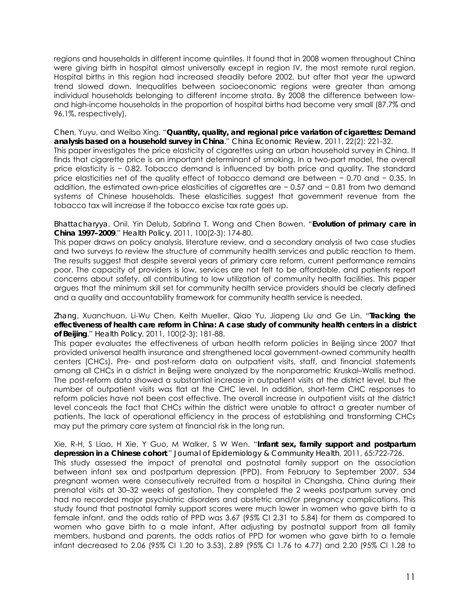regions and households in different income quintiles. It found that in 2008 women throughout China were giving birth in hospital almost universally except in region IV, the most remote rural region. Hospital births in this region had increased steadily before 2002, but after that year the upward trend slowed down. Inequalities between socioeconomic regions were greater than among individual households belonging to different income strata. By 2008 the difference between lowand high-income households in the proportion of hospital births had become very small (87.7% and 96.1%, respectively).

*Chen*, Yuyu, and Weibo Xing. "**Quantity, quality, and regional price variation of cigarettes: Demand analysis based on a household survey in China**." *China Economic Review*, 2011, 22(2): 221-32. This paper investigates the price elasticity of cigarettes using an urban household survey in China. It finds that cigarette price is an important determinant of smoking. In a two-part model, the overall price elasticity is − 0.82. Tobacco demand is influenced by both price and quality. The standard price elasticities net of the quality effect of tobacco demand are between − 0.70 and − 0.35. In addition, the estimated own-price elasticities of cigarettes are − 0.57 and − 0.81 from two demand systems of Chinese households. These elasticities suggest that government revenue from the tobacco tax will increase if the tobacco excise tax rate goes up.

*Bhattacharyya*, Onil, Yin Delub, Sabrina T. Wong and Chen Bowen. "**Evolution of primary care in China 1997–2009**." *Health Policy*, 2011, 100(2-3): 174-80.

This paper draws on policy analysis, literature review, and a secondary analysis of two case studies and two surveys to review the structure of community health services and public reaction to them. The results suggest that despite several years of primary care reform, current performance remains poor. The capacity of providers is low, services are not felt to be affordable, and patients report concerns about safety, all contributing to low utilization of community health facilities. This paper argues that the minimum skill set for community health service providers should be clearly defined and a quality and accountability framework for community health service is needed.

## *Zhang*, Xuanchuan, Li-Wu Chen, Keith Mueller, Qiao Yu, Jiapeng Liu and Ge Lin. "**Tracking the effectiveness of health care reform in China: A case study of community health centers in a district of Beijing**." *Health Policy*, 2011, 100(2-3): 181-88.

This paper evaluates the effectiveness of urban health reform policies in Beijing since 2007 that provided universal health insurance and strengthened local government-owned community health centers (CHCs). Pre- and post-reform data on outpatient visits, staff, and financial statements among all CHCs in a district in Beijing were analyzed by the nonparametric Kruskal–Wallis method. The post-reform data showed a substantial increase in outpatient visits at the district level, but the number of outpatient visits was flat at the CHC level. In addition, short-term CHC responses to reform policies have not been cost effective. The overall increase in outpatient visits at the district level conceals the fact that CHCs within the district were unable to attract a greater number of patients. The lack of operational efficiency in the process of establishing and transforming CHCs may put the primary care system at financial risk in the long run.

Xie, R-H, S Liao, H Xie, Y Guo, M Walker, S W Wen. "**Infant sex, family support and postpartum depression in a Chinese cohort**." *Journal of Epidemiology & Community Health*, 2011, 65:722-726. This study assessed the impact of prenatal and postnatal family support on the association between infant sex and postpartum depression (PPD). From February to September 2007, 534 pregnant women were consecutively recruited from a hospital in Changsha, China during their prenatal visits at 30–32 weeks of gestation. They completed the 2 weeks postpartum survey and had no recorded major psychiatric disorders and obstetric and/or pregnancy complications. This study found that postnatal family support scores were much lower in women who gave birth to a female infant, and the odds ratio of PPD was 3.67 (95% CI 2.31 to 5.84) for them as compared to women who gave birth to a male infant. After adjusting by postnatal support from all family members, husband and parents, the odds ratios of PPD for women who gave birth to a female infant decreased to 2.06 (95% CI 1.20 to 3.53), 2.89 (95% CI 1.76 to 4.77) and 2.20 (95% CI 1.28 to